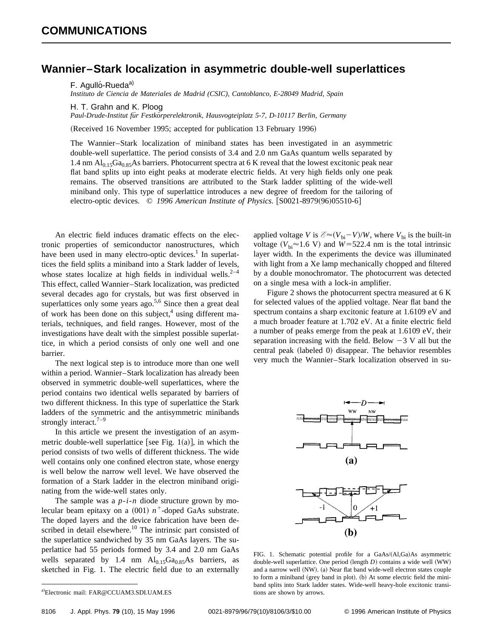## **Wannier–Stark localization in asymmetric double-well superlattices**

F. Agulló-Rueda<sup>a)</sup>

*Instituto de Ciencia de Materiales de Madrid (CSIC), Cantoblanco, E-28049 Madrid, Spain*

H. T. Grahn and K. Ploog

*Paul-Drude-Institut fu¨r Festko¨rperelektronik, Hausvogteiplatz 5-7, D-10117 Berlin, Germany*

(Received 16 November 1995; accepted for publication 13 February 1996)

The Wannier–Stark localization of miniband states has been investigated in an asymmetric double-well superlattice. The period consists of 3.4 and 2.0 nm GaAs quantum wells separated by 1.4 nm Al<sub>0.15</sub>Ga<sub>0.85</sub>As barriers. Photocurrent spectra at 6 K reveal that the lowest excitonic peak near flat band splits up into eight peaks at moderate electric fields. At very high fields only one peak remains. The observed transitions are attributed to the Stark ladder splitting of the wide-well miniband only. This type of superlattice introduces a new degree of freedom for the tailoring of electro-optic devices. © 1996 American Institute of Physics. [S0021-8979(96)05510-6]

An electric field induces dramatic effects on the electronic properties of semiconductor nanostructures, which have been used in many electro-optic devices.<sup>1</sup> In superlattices the field splits a miniband into a Stark ladder of levels, whose states localize at high fields in individual wells.<sup>2-4</sup> This effect, called Wannier–Stark localization, was predicted several decades ago for crystals, but was first observed in superlattices only some years ago. $5.6$  Since then a great deal of work has been done on this subject, $4$  using different materials, techniques, and field ranges. However, most of the investigations have dealt with the simplest possible superlattice, in which a period consists of only one well and one barrier.

The next logical step is to introduce more than one well within a period. Wannier–Stark localization has already been observed in symmetric double-well superlattices, where the period contains two identical wells separated by barriers of two different thickness. In this type of superlattice the Stark ladders of the symmetric and the antisymmetric minibands strongly interact. $7-9$ 

In this article we present the investigation of an asymmetric double-well superlattice [see Fig.  $1(a)$ ], in which the period consists of two wells of different thickness. The wide well contains only one confined electron state, whose energy is well below the narrow well level. We have observed the formation of a Stark ladder in the electron miniband originating from the wide-well states only.

The sample was a *p*-*i*-*n* diode structure grown by molecular beam epitaxy on a  $(001)$   $n^+$ -doped GaAs substrate. The doped layers and the device fabrication have been described in detail elsewhere.<sup>10</sup> The intrinsic part consisted of the superlattice sandwiched by 35 nm GaAs layers. The superlattice had 55 periods formed by 3.4 and 2.0 nm GaAs wells separated by 1.4 nm  $Al<sub>0.15</sub>Ga<sub>0.85</sub>As barriers, as$ sketched in Fig. 1. The electric field due to an externally

Figure 2 shows the photocurrent spectra measured at 6 K for selected values of the applied voltage. Near flat band the spectrum contains a sharp excitonic feature at 1.6109 eV and a much broader feature at 1.702 eV. At a finite electric field a number of peaks emerge from the peak at 1.6109 eV, their separation increasing with the field. Below  $-3$  V all but the central peak (labeled 0) disappear. The behavior resembles very much the Wannier–Stark localization observed in su-



FIG. 1. Schematic potential profile for a GaAs/(Al,Ga)As asymmetric double-well superlattice. One period (length *D*) contains a wide well (WW) and a narrow well (NW). (a) Near flat band wide-well electron states couple to form a miniband (grey band in plot). (b) At some electric field the miniband splits into Stark ladder states. Wide-well heavy-hole excitonic transitions are shown by arrows.

applied voltage *V* is  $\mathcal{E} \approx (V_{bi} - V)/W$ , where  $V_{bi}$  is the built-in voltage  $(V_{bi} \approx 1.6 \text{ V})$  and  $W = 522.4 \text{ nm}$  is the total intrinsic layer width. In the experiments the device was illuminated with light from a Xe lamp mechanically chopped and filtered by a double monochromator. The photocurrent was detected on a single mesa with a lock-in amplifier.

a)Electronic mail: FAR@CCUAM3.SDI.UAM.ES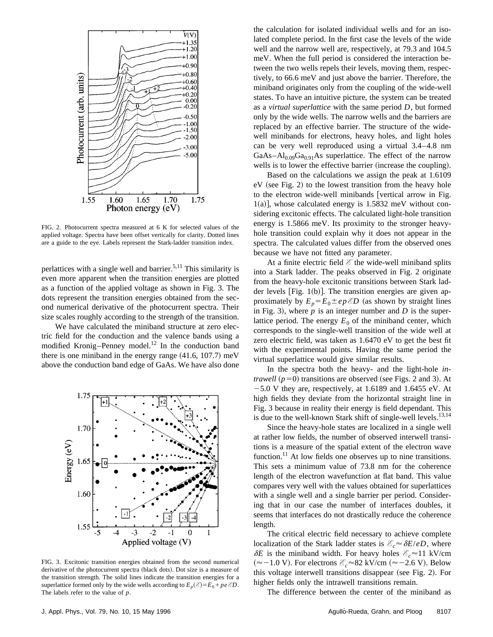

FIG. 2. Photocurrent spectra measured at 6 K for selected values of the applied voltage. Spectra have been offset vertically for clarity. Dotted lines are a guide to the eye. Labels represent the Stark-ladder transition index.

perlattices with a single well and barrier.<sup>5,11</sup> This similarity is even more apparent when the transition energies are plotted as a function of the applied voltage as shown in Fig. 3. The dots represent the transition energies obtained from the second numerical derivative of the photocurrent spectra. Their size scales roughly according to the strength of the transition.

We have calculated the miniband structure at zero electric field for the conduction and the valence bands using a modified Kronig–Penney model.<sup>12</sup> In the conduction band there is one miniband in the energy range  $(41.6, 107.7)$  meV above the conduction band edge of GaAs. We have also done



FIG. 3. Excitonic transition energies obtained from the second numerical derivative of the photocurrent spectra (black dots). Dot size is a measure of the transition strength. The solid lines indicate the transition energies for a superlattice formed only by the wide wells according to  $E_p(\mathscr{E}) = E_0 + pe \mathscr{E}D$ . The labels refer to the value of *p*.

the calculation for isolated individual wells and for an isolated complete period. In the first case the levels of the wide well and the narrow well are, respectively, at 79.3 and 104.5 meV. When the full period is considered the interaction between the two wells repels their levels, moving them, respectively, to 66.6 meV and just above the barrier. Therefore, the miniband originates only from the coupling of the wide-well states. To have an intuitive picture, the system can be treated as a *virtual superlattice* with the same period *D*, but formed only by the wide wells. The narrow wells and the barriers are replaced by an effective barrier. The structure of the widewell minibands for electrons, heavy holes, and light holes can be very well reproduced using a virtual 3.4–4.8 nm GaAs– $Al_{0.09}Ga_{0.91}As$  superlattice. The effect of the narrow wells is to lower the effective barrier (increase the coupling).

Based on the calculations we assign the peak at 1.6109  $eV$  (see Fig. 2) to the lowest transition from the heavy hole to the electron wide-well minibands [vertical arrow in Fig. 1(a)], whose calculated energy is 1.5832 meV without considering excitonic effects. The calculated light-hole transition energy is 1.5866 meV. Its proximity to the stronger heavyhole transition could explain why it does not appear in the spectra. The calculated values differ from the observed ones because we have not fitted any parameter.

At a finite electric field *E* the wide-well miniband splits into a Stark ladder. The peaks observed in Fig. 2 originate from the heavy-hole excitonic transitions between Stark ladder levels [Fig.  $1(b)$ ]. The transition energies are given approximately by  $E_p = E_0 \pm ep \,\mathcal{E}D$  (as shown by straight lines in Fig. 3), where  $p$  is an integer number and  $D$  is the superlattice period. The energy  $E_0$  of the miniband center, which corresponds to the single-well transition of the wide well at zero electric field, was taken as 1.6470 eV to get the best fit with the experimental points. Having the same period the virtual superlattice would give similar results.

In the spectra both the heavy- and the light-hole *intrawell*  $(p=0)$  transitions are observed (see Figs. 2 and 3). At  $-5.0$  V they are, respectively, at 1.6189 and 1.6455 eV. At high fields they deviate from the horizontal straight line in Fig. 3 because in reality their energy is field dependant. This is due to the well-known Stark shift of single-well levels. $13,14$ 

Since the heavy-hole states are localized in a single well at rather low fields, the number of observed interwell transitions is a measure of the spatial extent of the electron wave function.<sup>11</sup> At low fields one observes up to nine transitions. This sets a minimum value of 73.8 nm for the coherence length of the electron wavefunction at flat band. This value compares very well with the values obtained for superlattices with a single well and a single barrier per period. Considering that in our case the number of interfaces doubles, it seems that interfaces do not drastically reduce the coherence length.

The critical electric field necessary to achieve complete localization of the Stark ladder states is  $\mathcal{E}_c \approx \delta E/eD$ , where  $\delta E$  is the miniband width. For heavy holes  $\mathcal{E}_c \approx 11 \text{ kV/cm}$ (≈-1.0 V). For electrons  $\mathcal{E}_c$ ≈82 kV/cm (≈-2.6 V). Below this voltage interwell transitions disappear (see Fig. 2). For higher fields only the intrawell transitions remain.

The difference between the center of the miniband as